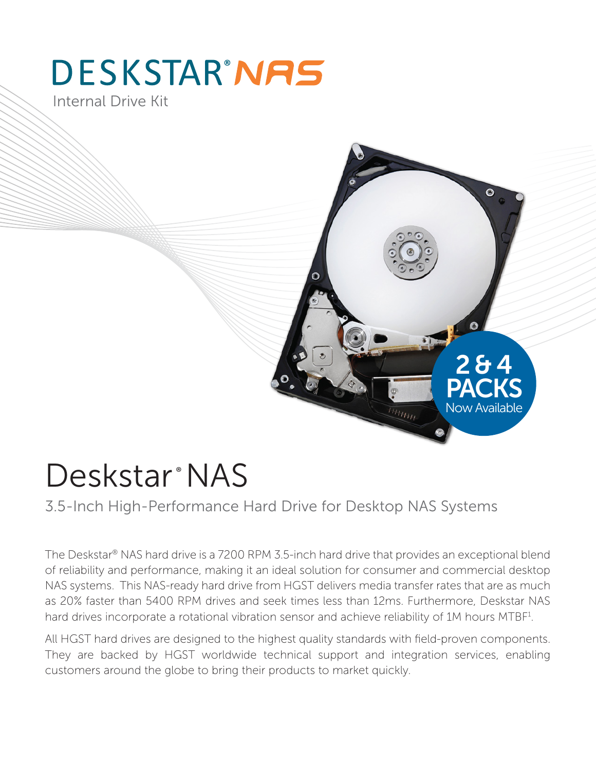# **DESKSTAR®NAS**

Internal Drive Kit



## Deskstar<sup>®</sup> NAS

3.5-Inch High-Performance Hard Drive for Desktop NAS Systems

The Deskstar® NAS hard drive is a 7200 RPM 3.5-inch hard drive that provides an exceptional blend of reliability and performance, making it an ideal solution for consumer and commercial desktop NAS systems. This NAS-ready hard drive from HGST delivers media transfer rates that are as much as 20% faster than 5400 RPM drives and seek times less than 12ms. Furthermore, Deskstar NAS hard drives incorporate a rotational vibration sensor and achieve reliability of 1M hours MTBF<sup>1</sup>.

All HGST hard drives are designed to the highest quality standards with field-proven components. They are backed by HGST worldwide technical support and integration services, enabling customers around the globe to bring their products to market quickly.